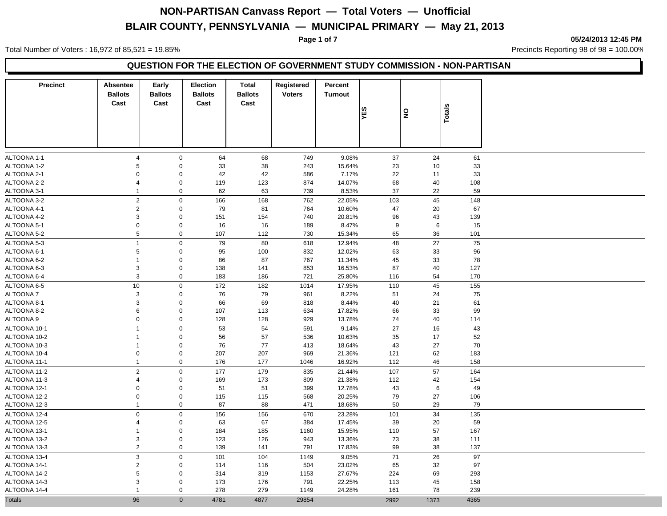Total Number of Voters : 16,972 of 85,521 = 19.85% Precincts Reporting 98 of 98 = 100.00%

**Page 1 of 7 05/24/2013 12:45 PM**

### **QUESTION FOR THE ELECTION OF GOVERNMENT STUDY COMMISSION - NON-PARTISAN**

| <b>Precinct</b>              | Absentee<br><b>Ballots</b><br>Cast | Early<br><b>Ballots</b><br>Cast | <b>Election</b><br><b>Ballots</b><br>Cast | <b>Total</b><br><b>Ballots</b><br>Cast | Registered<br><b>Voters</b> | Percent<br><b>Turnout</b> |          |                         |           |  |
|------------------------------|------------------------------------|---------------------------------|-------------------------------------------|----------------------------------------|-----------------------------|---------------------------|----------|-------------------------|-----------|--|
|                              |                                    |                                 |                                           |                                        |                             |                           | YES      | $\overline{\mathbf{z}}$ | Totals    |  |
| ALTOONA 1-1                  | $\overline{4}$                     | $\mathbf 0$                     | 64                                        | 68                                     | 749                         | 9.08%                     | 37       | 24                      | 61        |  |
| ALTOONA 1-2                  | 5                                  | $\mathbf 0$                     | 33                                        | 38                                     | 243                         | 15.64%                    | 23       | 10                      | 33        |  |
| ALTOONA 2-1                  | $\mathbf 0$                        | $\mathbf 0$                     | 42                                        | 42                                     | 586                         | 7.17%                     | 22       | 11                      | 33        |  |
| ALTOONA 2-2                  | $\overline{4}$                     | $\mathsf 0$                     | 119                                       | 123                                    | 874                         | 14.07%                    | 68       | 40                      | 108       |  |
| ALTOONA 3-1                  | $\mathbf{1}$                       | $\mathbf 0$                     | 62                                        | 63                                     | 739                         | 8.53%                     | 37       | 22                      | 59        |  |
| ALTOONA 3-2                  | $\sqrt{2}$                         | $\mathbf 0$                     | 166                                       | 168                                    | 762                         | 22.05%                    | 103      | 45                      | 148       |  |
| ALTOONA 4-1                  | $\overline{2}$                     | $\mathbf 0$                     | 79                                        | 81                                     | 764                         | 10.60%                    | 47       | 20                      | 67        |  |
| ALTOONA 4-2                  | $\mathsf 3$                        | $\mathbf 0$                     | 151                                       | 154                                    | 740                         | 20.81%                    | 96       | 43                      | 139       |  |
| ALTOONA 5-1                  | $\mathbf 0$                        | $\mathbf 0$                     | 16                                        | 16                                     | 189                         | 8.47%                     | 9        | 6                       | 15        |  |
| ALTOONA 5-2                  | 5                                  | $\mathbf 0$                     | 107                                       | 112                                    | 730                         | 15.34%                    | 65       | 36                      | 101       |  |
| ALTOONA 5-3                  | $\mathbf{1}$                       | $\mathbf 0$                     | 79                                        | 80                                     | 618                         | 12.94%                    | 48       | 27                      | 75        |  |
| ALTOONA 6-1                  | 5                                  | $\mathbf 0$                     | 95                                        | 100                                    | 832                         | 12.02%                    | 63       | 33                      | 96        |  |
| ALTOONA 6-2                  | $\mathbf{1}$                       | $\mathbf 0$                     | 86                                        | 87                                     | 767                         | 11.34%                    | 45       | 33                      | 78        |  |
| ALTOONA 6-3                  | 3                                  | $\mathbf 0$                     | 138                                       | 141                                    | 853                         | 16.53%                    | 87       | 40                      | 127       |  |
| ALTOONA 6-4                  | 3                                  | $\mathbf 0$                     | 183                                       | 186                                    | 721                         | 25.80%                    | 116      | 54                      | 170       |  |
| ALTOONA 6-5                  | 10                                 | $\mathbf 0$                     | 172                                       | 182                                    | 1014                        | 17.95%                    | 110      | 45                      | 155       |  |
| <b>ALTOONA7</b>              | $\mathsf 3$                        | $\mathbf 0$                     | 76                                        | 79                                     | 961                         | 8.22%                     | 51       | 24                      | 75        |  |
| ALTOONA 8-1                  | 3                                  | $\mathbf 0$                     | 66                                        | 69                                     | 818                         | 8.44%                     | 40       | 21                      | 61        |  |
| ALTOONA 8-2                  | 6                                  | $\mathbf 0$                     | 107                                       | 113                                    | 634                         | 17.82%                    | 66       | 33                      | 99        |  |
| ALTOONA 9                    | $\mathbf 0$                        | $\mathbf 0$                     | 128                                       | 128                                    | 929                         | 13.78%                    | 74       | 40                      | 114       |  |
| ALTOONA 10-1                 | $\mathbf{1}$                       | $\mathbf 0$                     | 53                                        | 54                                     | 591                         | 9.14%                     | 27       | 16                      | 43        |  |
| ALTOONA 10-2                 | $\mathbf{1}$                       | $\mathbf 0$                     | 56                                        | 57                                     | 536                         | 10.63%                    | 35       | 17                      | 52        |  |
| ALTOONA 10-3                 | $\mathbf{1}$                       | $\mathbf 0$                     | 76                                        | 77                                     | 413                         | 18.64%                    | 43       | 27                      | 70        |  |
| ALTOONA 10-4                 | $\mathbf 0$                        | $\mathbf 0$                     | 207                                       | 207                                    | 969                         | 21.36%                    | 121      | 62                      | 183       |  |
| ALTOONA 11-1                 | $\mathbf{1}$                       | $\mathbf 0$                     | 176                                       | 177                                    | 1046                        | 16.92%                    | 112      | 46                      | 158       |  |
|                              |                                    |                                 |                                           |                                        |                             |                           |          |                         |           |  |
| ALTOONA 11-2                 | $\sqrt{2}$<br>$\overline{4}$       | $\mathsf 0$                     | 177                                       | 179                                    | 835                         | 21.44%                    | 107      | 57                      | 164       |  |
| ALTOONA 11-3                 | $\mathbf 0$                        | $\mathbf 0$<br>$\mathbf 0$      | 169                                       | 173                                    | 809                         | 21.38%                    | 112      | 42                      | 154       |  |
| ALTOONA 12-1<br>ALTOONA 12-2 | $\mathbf 0$                        | $\mathbf 0$                     | 51<br>115                                 | 51                                     | 399<br>568                  | 12.78%<br>20.25%          | 43<br>79 | 6<br>27                 | 49        |  |
| ALTOONA 12-3                 |                                    | $\mathbf 0$                     | 87                                        | 115<br>88                              | 471                         | 18.68%                    | 50       | 29                      | 106<br>79 |  |
|                              |                                    |                                 |                                           |                                        |                             |                           |          |                         |           |  |
| ALTOONA 12-4                 | $\pmb{0}$                          | $\mathbf 0$                     | 156                                       | 156                                    | 670                         | 23.28%                    | 101      | 34                      | 135       |  |
| ALTOONA 12-5                 | $\overline{4}$                     | $\mathbf 0$                     | 63                                        | 67                                     | 384                         | 17.45%                    | 39       | 20                      | 59        |  |
| ALTOONA 13-1                 | -1                                 | $\mathbf 0$                     | 184                                       | 185                                    | 1160                        | 15.95%                    | 110      | 57                      | 167       |  |
| ALTOONA 13-2                 | 3<br>$\overline{2}$                | $\mathbf 0$                     | 123                                       | 126                                    | 943                         | 13.36%                    | 73       | 38                      | 111       |  |
| ALTOONA 13-3                 |                                    | $\mathbf 0$                     | 139                                       | 141                                    | 791                         | 17.83%                    | 99       | 38                      | 137       |  |
| ALTOONA 13-4                 | $\ensuremath{\mathsf{3}}$          | $\mathbf 0$                     | 101                                       | 104                                    | 1149                        | 9.05%                     | 71       | 26                      | 97        |  |
| ALTOONA 14-1                 | $\sqrt{2}$                         | $\mathbf 0$                     | 114                                       | 116                                    | 504                         | 23.02%                    | 65       | 32                      | 97        |  |
| ALTOONA 14-2                 | 5                                  | $\mathbf 0$                     | 314                                       | 319                                    | 1153                        | 27.67%                    | 224      | 69                      | 293       |  |
| ALTOONA 14-3                 | 3                                  | $\mathbf 0$                     | 173                                       | 176                                    | 791                         | 22.25%                    | 113      | 45                      | 158       |  |
| ALTOONA 14-4                 | $\overline{1}$                     | $\mathbf 0$                     | 278                                       | 279                                    | 1149                        | 24.28%                    | 161      | 78                      | 239       |  |
| <b>Totals</b>                | 96                                 | $\mathbf{0}$                    | 4781                                      | 4877                                   | 29854                       |                           | 2992     | 1373                    | 4365      |  |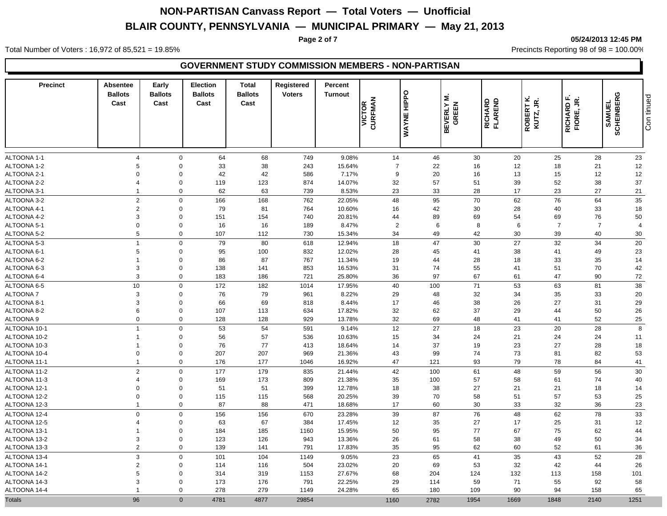#### **Page 2 of 7 05/24/2013 12:45 PM**

Total Number of Voters : 16,972 of 85,521 = 19.85% Precincts Reporting 98 of 98 = 100.00%

| <b>Precinct</b> | <b>Absentee</b><br><b>Ballots</b><br>Cast | Early<br><b>Ballots</b><br>Cast | <b>Election</b><br><b>Ballots</b><br>Cast | <b>Total</b><br><b>Ballots</b><br>Cast | Registered<br><b>Voters</b> | Percent<br><b>Turnout</b> | VICTOR<br>CURFMAN | <b>HIPPO</b><br>WAYNE | <b>BEVERLY M.<br/>GREEN</b> | <b>RICHARD<br/>FLAREND</b> | ROBERT K.<br>KUTZ, JR. | RICHARD F.<br>g<br>FIORE, | SAMUEL<br>SCHEINBERG | Con tinued     |
|-----------------|-------------------------------------------|---------------------------------|-------------------------------------------|----------------------------------------|-----------------------------|---------------------------|-------------------|-----------------------|-----------------------------|----------------------------|------------------------|---------------------------|----------------------|----------------|
| ALTOONA 1-1     | $\overline{4}$                            | $\mathbf 0$                     | 64                                        | 68                                     | 749                         | 9.08%                     | 14                | 46                    | 30                          | 20                         |                        | 25                        | 28                   | 23             |
| ALTOONA 1-2     | 5                                         | $\mathbf 0$                     | 33                                        | 38                                     | 243                         | 15.64%                    | $\overline{7}$    | 22                    | 16                          | 12                         |                        | 18                        | 21                   | 12             |
| ALTOONA 2-1     | $\mathbf 0$                               | $\mathbf 0$                     | 42                                        | 42                                     | 586                         | 7.17%                     | 9                 | 20                    | 16                          | 13                         |                        | 15                        | 12                   | 12             |
| ALTOONA 2-2     | $\overline{4}$                            | $\mathbf 0$                     | 119                                       | 123                                    | 874                         | 14.07%                    | 32                | 57                    | 51                          | 39                         |                        | 52                        | 38                   | 37             |
| ALTOONA 3-1     | $\overline{1}$                            | $\mathbf 0$                     | 62                                        | 63                                     | 739                         | 8.53%                     | 23                | 33                    | 28                          | 17                         |                        | 23                        | 27                   | 21             |
| ALTOONA 3-2     | $\overline{2}$                            | $\Omega$                        | 166                                       | 168                                    | 762                         | 22.05%                    | 48                | 95                    | $70\,$                      | 62                         |                        | 76                        | 64                   | 35             |
| ALTOONA 4-1     | $\overline{2}$                            | $\Omega$                        | 79                                        | 81                                     | 764                         | 10.60%                    | 16                | 42                    | 30                          | 28                         |                        | 40                        | 33                   | 18             |
| ALTOONA 4-2     | $\mathbf{3}$                              | $\Omega$                        | 151                                       | 154                                    | 740                         | 20.81%                    | 44                | 89                    | 69                          | 54                         |                        | 69                        | 76                   | 50             |
| ALTOONA 5-1     | $\boldsymbol{0}$                          | $\Omega$                        | 16                                        | 16                                     | 189                         | 8.47%                     | $\overline{2}$    | 6                     | 8                           | 6                          |                        | $\overline{7}$            | $\overline{7}$       | $\overline{4}$ |
| ALTOONA 5-2     | 5                                         | $\mathbf 0$                     | 107                                       | 112                                    | 730                         | 15.34%                    | 34                | 49                    | 42                          | 30                         |                        | 39                        | 40                   | 30             |
| ALTOONA 5-3     | $\overline{1}$                            | $\Omega$                        | 79                                        | 80                                     | 618                         | 12.94%                    | 18                | 47                    | 30                          | 27                         |                        | 32                        | 34                   | 20             |
| ALTOONA 6-1     | $\sqrt{5}$                                | $\mathbf 0$                     | 95                                        | 100                                    | 832                         | 12.02%                    | 28                | 45                    | 41                          | 38                         | 41                     |                           | 49                   | 23             |
| ALTOONA 6-2     | $\overline{1}$                            | $\Omega$                        | 86                                        | 87                                     | 767                         | 11.34%                    | 19                | 44                    | 28                          | 18                         |                        | 33                        | 35                   | 14             |
| ALTOONA 6-3     | $\mathbf{3}$                              | $\mathbf 0$                     | 138                                       | 141                                    | 853                         | 16.53%                    | 31                | 74                    | 55                          | 41                         | 51                     |                           | 70                   | 42             |
| ALTOONA 6-4     | $\mathbf{3}$                              | $\mathbf 0$                     | 183                                       | 186                                    | 721                         | 25.80%                    | 36                | 97                    | 67                          | 61                         | 47                     |                           | 90                   | $72\,$         |
| ALTOONA 6-5     | 10                                        | $\Omega$                        | 172                                       | 182                                    | 1014                        | 17.95%                    | 40                | 100                   | 71                          | 53                         |                        | 63                        | 81                   | 38             |
| <b>ALTOONA7</b> | $\mathbf{3}$                              | $\mathbf 0$                     | 76                                        | 79                                     | 961                         | 8.22%                     | 29                | 48                    | 32                          | 34                         |                        | 35                        | 33                   | 20             |
| ALTOONA 8-1     | 3                                         | $\Omega$                        | 66                                        | 69                                     | 818                         | 8.44%                     | 17                | 46                    | 38                          | 26                         | 27                     |                           | 31                   | 29             |
| ALTOONA 8-2     | 6                                         | $\Omega$                        | 107                                       | 113                                    | 634                         | 17.82%                    | 32                | 62                    | 37                          | 29                         | 44                     |                           | 50                   | 26             |
| ALTOONA 9       | $\mathbf 0$                               | $\Omega$                        | 128                                       | 128                                    | 929                         | 13.78%                    | 32                | 69                    | 48                          | 41                         | 41                     |                           | 52                   | 25             |
| ALTOONA 10-1    | $\overline{1}$                            | $\Omega$                        | 53                                        | 54                                     | 591                         | 9.14%                     | 12                | 27                    | 18                          | 23                         |                        | 20                        | 28                   | 8              |
| ALTOONA 10-2    | $\overline{1}$                            | $\mathbf 0$                     | 56                                        | 57                                     | 536                         | 10.63%                    | 15                | 34                    | 24                          | 21                         |                        | 24                        | 24                   | 11             |
| ALTOONA 10-3    | $\overline{1}$                            | $\mathbf 0$                     | 76                                        | 77                                     | 413                         | 18.64%                    | 14                | 37                    | 19                          | 23                         | 27                     |                           | 28                   | 18             |
| ALTOONA 10-4    | $\mathbf 0$                               | $\mathbf 0$                     | 207                                       | 207                                    | 969                         | 21.36%                    | 43                | 99                    | 74                          | 73                         | 81                     |                           | 82                   | 53             |
| ALTOONA 11-1    | $\overline{1}$                            | $\mathbf 0$                     | 176                                       | 177                                    | 1046                        | 16.92%                    | 47                | 121                   | 93                          | 79                         |                        | 78                        | 84                   | 41             |
| ALTOONA 11-2    | $\overline{2}$                            | $\Omega$                        | 177                                       | 179                                    | 835                         | 21.44%                    | 42                | 100                   | 61                          | 48                         |                        | 59                        | 56                   | 30             |
| ALTOONA 11-3    | $\overline{4}$                            | $\mathbf 0$                     | 169                                       | 173                                    | 809                         | 21.38%                    | 35                | 100                   | 57                          | 58                         | 61                     |                           | 74                   | 40             |
| ALTOONA 12-1    | $\mathbf 0$                               | $\Omega$                        | 51                                        | 51                                     | 399                         | 12.78%                    | 18                | 38                    | 27                          | 21                         | 21                     |                           | 18                   | 14             |
| ALTOONA 12-2    | $\mathbf 0$                               | $\mathbf 0$                     | 115                                       | 115                                    | 568                         | 20.25%                    | 39                | 70                    | 58                          | 51                         | 57                     |                           | 53                   | 25             |
| ALTOONA 12-3    | $\overline{1}$                            | $\Omega$                        | 87                                        | 88                                     | 471                         | 18.68%                    | 17                | 60                    | 30                          | 33                         |                        | 32                        | 36                   | 23             |
| ALTOONA 12-4    | $\mathbf{0}$                              | $\Omega$                        | 156                                       | 156                                    | 670                         | 23.28%                    | 39                | 87                    | 76                          | 48                         |                        | 62                        | 78                   | 33             |
| ALTOONA 12-5    | $\overline{4}$                            | $\Omega$                        | 63                                        | 67                                     | 384                         | 17.45%                    | 12                | 35                    | 27                          | 17                         |                        | 25                        | 31                   | 12             |
| ALTOONA 13-1    | $\overline{1}$                            | $\Omega$                        | 184                                       | 185                                    | 1160                        | 15.95%                    | 50                | 95                    | 77                          | 67                         |                        | 75                        | 62                   | 44             |
| ALTOONA 13-2    | 3                                         | $\mathbf 0$                     | 123                                       | 126                                    | 943                         | 13.36%                    | 26                | 61                    | 58                          | 38                         |                        | 49                        | 50                   | 34             |
| ALTOONA 13-3    | $\overline{c}$                            | $\Omega$                        | 139                                       | 141                                    | 791                         | 17.83%                    | 35                | 95                    | 62                          | 60                         |                        | 52                        | 61                   | 36             |
| ALTOONA 13-4    | 3                                         | $\Omega$                        | 101                                       | 104                                    | 1149                        | 9.05%                     | 23                | 65                    | 41                          | 35                         |                        | 43                        | 52                   | 28             |
| ALTOONA 14-1    | $\overline{2}$                            | $\Omega$                        | 114                                       | 116                                    | 504                         | 23.02%                    | 20                | 69                    | 53                          | 32                         |                        | 42                        | 44                   | 26             |
| ALTOONA 14-2    | 5                                         | $\Omega$                        | 314                                       | 319                                    | 1153                        | 27.67%                    | 68                | 204                   | 124                         | 132                        | 113                    |                           | 158                  | 101            |
| ALTOONA 14-3    | 3                                         | $\Omega$                        | 173                                       | 176                                    | 791                         | 22.25%                    | 29                | 114                   | 59                          | 71                         |                        | 55                        | 92                   | 58             |
| ALTOONA 14-4    |                                           | $\Omega$                        | 278                                       | 279                                    | 1149                        | 24.28%                    | 65                | 180                   | 109                         | 90                         |                        | 94                        | 158                  | 65             |
| <b>Totals</b>   | 96                                        | $\Omega$                        | 4781                                      | 4877                                   | 29854                       |                           | 1160              | 2782                  | 1954                        | 1669                       | 1848                   |                           | 2140                 | 1251           |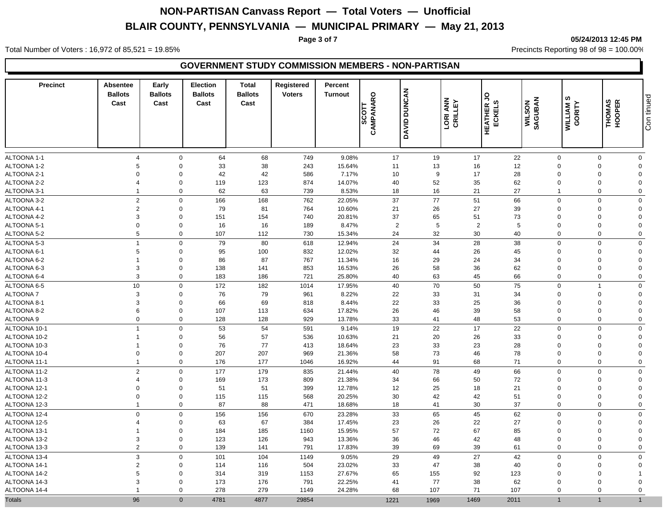**Page 3 of 7 05/24/2013 12:45 PM**

Total Number of Voters : 16,972 of 85,521 = 19.85% Precincts Reporting 98 of 98 = 100.00%

| <b>Precinct</b>              | <b>Absentee</b><br><b>Ballots</b><br>Cast | Early<br><b>Ballots</b><br>Cast | <b>Election</b><br><b>Ballots</b><br>Cast | <b>Total</b><br><b>Ballots</b><br>Cast | Registered<br><b>Voters</b> | Percent<br><b>Turnout</b> | CAMPANARO<br>los | DAVID DUNCAN | <b>LORI ANN</b><br>CRILLEY | S<br>ဖ<br><b>HEATHER<br/>ECKELS</b> | SAGUBAN<br><b>WILSON</b> | ဖာ<br>WILLIAM 9<br>GORITY | THOMAS<br>HOOPER     | Con tinued                    |
|------------------------------|-------------------------------------------|---------------------------------|-------------------------------------------|----------------------------------------|-----------------------------|---------------------------|------------------|--------------|----------------------------|-------------------------------------|--------------------------|---------------------------|----------------------|-------------------------------|
| ALTOONA 1-1                  | $\overline{4}$                            | $\mathbf 0$                     | 64                                        | 68                                     | 749                         | 9.08%                     | 17               | 19           | 17                         | 22                                  |                          | $\mathbf 0$               | $\Omega$             | $\mathbf 0$                   |
| ALTOONA 1-2                  | 5                                         | $\mathbf 0$                     | 33                                        | 38                                     | 243                         | 15.64%                    | 11               | 13           | 16                         | 12                                  |                          | $\Omega$                  | $\Omega$             | $\mathbf 0$                   |
| ALTOONA 2-1                  | $\overline{0}$                            | $\mathbf 0$                     | 42                                        | 42                                     | 586                         | 7.17%                     | 10               | 9            | 17                         | 28                                  |                          | $\Omega$                  | $\Omega$             | $\overline{0}$                |
| ALTOONA 2-2                  | $\overline{4}$                            | $\mathbf 0$                     | 119                                       | 123                                    | 874                         | 14.07%                    | 40               | 52           | 35                         | 62                                  |                          | $\Omega$                  | $\mathbf 0$          | $\Omega$                      |
| ALTOONA 3-1                  | $\overline{1}$                            | $\Omega$                        | 62                                        | 63                                     | 739                         | 8.53%                     | 18               | 16           | 21                         | 27                                  | $\overline{\mathbf{1}}$  |                           | $\Omega$             | $\mathbf 0$                   |
| ALTOONA 3-2                  | $\overline{2}$                            | $\mathbf 0$                     | 166                                       | 168                                    | 762                         | 22.05%                    | 37               | 77           | 51                         | 66                                  |                          | $\Omega$                  | $\Omega$             | $\mathbf 0$                   |
| ALTOONA 4-1                  | $\overline{2}$                            | $\mathbf 0$                     | 79                                        | 81                                     | 764                         | 10.60%                    | 21               | 26           | 27                         | 39                                  |                          | $\Omega$                  | $\Omega$             | $\Omega$                      |
| ALTOONA 4-2                  | $\mathbf{3}$                              | $\mathbf 0$                     | 151                                       | 154                                    | 740                         | 20.81%                    | 37               | 65           | 51                         | 73                                  |                          | $\Omega$                  | $\Omega$             | $\Omega$                      |
| ALTOONA 5-1                  | $\boldsymbol{0}$                          | $\mathbf 0$                     | 16                                        | 16                                     | 189                         | 8.47%                     | $\overline{2}$   | $\sqrt{5}$   | $\overline{2}$             | 5                                   |                          | $\Omega$                  | $\Omega$             | $\mathbf{0}$                  |
| ALTOONA 5-2                  | $\sqrt{5}$                                | $\Omega$                        | 107                                       | 112                                    | 730                         | 15.34%                    | 24               | 32           | 30                         | 40                                  |                          | $\mathbf 0$               | $\Omega$             | $\mathbf 0$                   |
| ALTOONA 5-3                  | $\overline{1}$                            | $\mathbf 0$                     | 79                                        | 80                                     | 618                         | 12.94%                    | 24               | 34           | 28                         | 38                                  |                          | $\mathbf 0$               | $\Omega$             | $\mathbf 0$                   |
| ALTOONA 6-1                  | 5                                         | $\mathbf 0$                     | 95                                        | 100                                    | 832                         | 12.02%                    | 32               | 44           | 26                         | 45                                  |                          | $\Omega$                  | $\Omega$             | $\Omega$                      |
| ALTOONA 6-2                  | $\overline{1}$                            | $\mathbf 0$                     | 86                                        | 87                                     | 767                         | 11.34%                    | 16               | 29           | 24                         | 34                                  |                          | $\Omega$                  | $\Omega$             | $\mathbf 0$                   |
| ALTOONA 6-3                  | $\mathbf{3}$                              | $\mathbf 0$                     | 138                                       | 141                                    | 853                         | 16.53%                    | 26               | 58           | 36                         | 62                                  |                          | $\Omega$                  | $\Omega$             | $\Omega$                      |
| ALTOONA 6-4                  | $\mathbf{3}$                              | $\mathbf 0$                     | 183                                       | 186                                    | 721                         | 25.80%                    | 40               | 63           | 45                         | 66                                  |                          | $\Omega$                  | $\Omega$             | $\mathbf 0$                   |
| ALTOONA 6-5                  | 10                                        | $\mathbf 0$                     | 172                                       | 182                                    | 1014                        | 17.95%                    | 40               | 70           | 50                         | 75                                  |                          | $\mathbf 0$               | 1                    | $\mathbf 0$                   |
| <b>ALTOONA7</b>              | $\mathbf{3}$                              | $\mathbf 0$                     | 76                                        | 79                                     | 961                         | 8.22%                     | 22               | 33           | 31                         | 34                                  |                          | $\Omega$                  | $\Omega$             | $\Omega$                      |
| ALTOONA 8-1                  | 3                                         | $\mathbf 0$                     | 66                                        | 69                                     | 818                         | 8.44%                     | 22               | 33           | 25                         | 36                                  |                          | $\Omega$                  | $\Omega$             | $\Omega$                      |
| ALTOONA 8-2                  | $\,6\,$                                   | $\mathbf 0$                     | 107                                       | 113                                    | 634                         | 17.82%                    | 26               | 46           | 39                         | 58                                  |                          | $\Omega$                  | $\Omega$             | $\mathbf 0$                   |
| ALTOONA 9                    | $\mathbf 0$                               | $\mathbf 0$                     | 128                                       | 128                                    | 929                         | 13.78%                    | 33               | 41           | 48                         | 53                                  |                          | $\mathbf 0$               | $\mathbf 0$          | $\mathbf 0$                   |
| ALTOONA 10-1                 | $\overline{1}$                            | $\mathbf 0$                     | 53                                        | 54                                     | 591                         | 9.14%                     | 19               | 22           | 17                         | 22                                  |                          | $\Omega$                  | $\Omega$             | $\mathbf 0$                   |
| ALTOONA 10-2                 | $\overline{1}$                            | $\mathbf 0$                     | 56                                        | 57                                     | 536                         | 10.63%                    | 21               | 20           | 26                         | 33                                  |                          | $\Omega$                  | $\Omega$             | $\mathbf{0}$                  |
| ALTOONA 10-3                 | $\overline{1}$                            | $\mathbf 0$                     | 76                                        | 77                                     | 413                         | 18.64%                    | 23               | 33           | 23                         | 28                                  |                          | $\Omega$                  | $\Omega$             | $\mathbf{0}$                  |
| ALTOONA 10-4                 | $\mathbf 0$                               | $\Omega$                        | 207                                       | 207                                    | 969                         | 21.36%                    | 58               | 73           | 46                         | 78                                  |                          | $\Omega$                  | $\Omega$             | $\Omega$                      |
| ALTOONA 11-1                 | $\overline{1}$                            | $\Omega$                        | 176                                       | 177                                    | 1046                        | 16.92%                    | 44               | 91           | 68                         | 71                                  |                          | $\Omega$                  | $\Omega$             | $\mathbf 0$                   |
|                              | $\overline{2}$                            | $\Omega$                        |                                           |                                        |                             |                           |                  |              |                            |                                     |                          | $\Omega$                  | $\Omega$             | $\mathbf 0$                   |
| ALTOONA 11-2<br>ALTOONA 11-3 | $\overline{4}$                            | $\mathbf 0$                     | 177<br>169                                | 179<br>173                             | 835<br>809                  | 21.44%<br>21.38%          | 40<br>34         | 78<br>66     | 49<br>50                   | 66<br>72                            |                          | $\Omega$                  | $\Omega$             | $\mathbf 0$                   |
| ALTOONA 12-1                 | $\mathbf 0$                               | $\mathbf 0$                     | 51                                        | 51                                     | 399                         | 12.78%                    | 12               | 25           | 18                         | 21                                  |                          | $\Omega$                  | $\Omega$             | $\Omega$                      |
| ALTOONA 12-2                 | $\mathbf 0$                               | $\mathbf 0$                     | 115                                       | 115                                    | 568                         | 20.25%                    | 30               | 42           | 42                         | 51                                  |                          | $\Omega$                  | $\Omega$             | $\mathbf 0$                   |
| ALTOONA 12-3                 | $\overline{1}$                            | $\mathbf 0$                     | 87                                        | 88                                     | 471                         | 18.68%                    | 18               | 41           | 30                         | 37                                  |                          | $\mathbf 0$               | $\mathbf 0$          | $\mathbf 0$                   |
|                              |                                           |                                 |                                           |                                        |                             |                           |                  |              |                            |                                     |                          | $\Omega$                  | $\Omega$             |                               |
| ALTOONA 12-4                 | $\mathbf 0$<br>$\overline{4}$             | $\mathbf 0$<br>$\mathbf 0$      | 156                                       | 156                                    | 670                         | 23.28%<br>17.45%          | 33               | 65           | 45                         | 62<br>27                            |                          | $\Omega$                  | $\Omega$             | $\mathbf 0$<br>$\mathbf 0$    |
| ALTOONA 12-5                 | $\overline{1}$                            |                                 | 63                                        | 67                                     | 384                         |                           | 23               | 26           | 22                         |                                     |                          |                           |                      |                               |
| ALTOONA 13-1<br>ALTOONA 13-2 | $\mathbf{3}$                              | $\mathbf 0$<br>$\mathbf 0$      | 184<br>123                                | 185<br>126                             | 1160<br>943                 | 15.95%<br>13.36%          | 57<br>36         | 72<br>46     | 67<br>42                   | 85<br>48                            |                          | $\Omega$<br>$\Omega$      | $\Omega$<br>$\Omega$ | $\mathbf 0$<br>$\overline{0}$ |
| ALTOONA 13-3                 | $\overline{2}$                            | $\mathbf 0$                     | 139                                       | 141                                    | 791                         | 17.83%                    | 39               | 69           | 39                         | 61                                  |                          | $\mathbf 0$               | $\mathbf 0$          | $\mathbf 0$                   |
|                              |                                           |                                 |                                           |                                        |                             |                           |                  |              |                            |                                     |                          |                           |                      |                               |
| ALTOONA 13-4                 | 3                                         | $\mathbf 0$                     | 101                                       | 104                                    | 1149                        | 9.05%                     | 29               | 49           | 27                         | 42                                  |                          | $\Omega$                  | $\Omega$             | $\mathbf 0$                   |
| ALTOONA 14-1                 | $\overline{2}$                            | $\mathbf 0$<br>$\Omega$         | 114                                       | 116                                    | 504                         | 23.02%                    | 33               | 47           | 38                         | 40                                  |                          | $\Omega$<br>$\Omega$      | $\Omega$<br>$\Omega$ | $\mathbf 0$                   |
| ALTOONA 14-2                 | $\sqrt{5}$<br>3                           | $\mathbf 0$                     | 314<br>173                                | 319<br>176                             | 1153<br>791                 | 27.67%<br>22.25%          | 65<br>41         | 155<br>77    | 92<br>38                   | 123<br>62                           |                          | $\Omega$                  | $\Omega$             | $\Omega$                      |
| ALTOONA 14-3                 | $\overline{1}$                            | $\Omega$                        | 278                                       | 279                                    |                             | 24.28%                    | 68               | 107          | 71                         |                                     |                          | $\Omega$                  | $\Omega$             |                               |
| ALTOONA 14-4                 |                                           |                                 |                                           |                                        | 1149                        |                           |                  |              |                            | 107                                 |                          |                           |                      | $\mathbf 0$                   |
| <b>Totals</b>                | 96                                        | $\Omega$                        | 4781                                      | 4877                                   | 29854                       |                           | 1221             | 1969         | 1469                       | 2011                                |                          |                           | $\mathbf{1}$         | $\mathbf{1}$                  |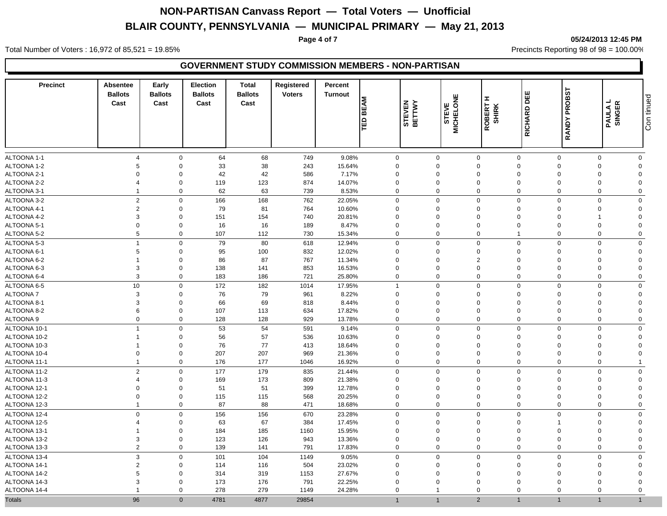#### **Page 4 of 7 05/24/2013 12:45 PM**

Total Number of Voters : 16,972 of 85,521 = 19.85% Precincts Reporting 98 of 98 = 100.00%

| <b>Precinct</b>            | <b>Absentee</b><br><b>Ballots</b><br>Cast | Early<br><b>Ballots</b><br>Cast | <b>Election</b><br><b>Ballots</b><br>Cast | <b>Total</b><br><b>Ballots</b><br>Cast | Registered<br><b>Voters</b> | Percent<br><b>Turnout</b> | <b>BEAM</b><br>le | STEVEN<br>BETTWY | <b>STEVE</b><br>MICHELONE | Œ.<br><b>ROBERT I</b><br>SHIRK | RICHARD DEE    | <b>PROBST</b><br><b>RANDY</b> | ┙<br><b>PAULA L<br/>SINGER</b> | Con tinued     |
|----------------------------|-------------------------------------------|---------------------------------|-------------------------------------------|----------------------------------------|-----------------------------|---------------------------|-------------------|------------------|---------------------------|--------------------------------|----------------|-------------------------------|--------------------------------|----------------|
| ALTOONA 1-1                | $\overline{4}$                            | $\mathbf 0$                     | 64                                        | 68                                     | 749                         | 9.08%                     |                   | 0                | $\mathbf 0$               | $\mathbf 0$                    | $\mathbf 0$    | $\mathbf 0$                   | $\Omega$                       | $\mathbf 0$    |
| ALTOONA 1-2                | 5                                         | $\mathbf 0$                     | 33                                        | 38                                     | 243                         | 15.64%                    |                   | $\mathbf 0$      | $\mathbf 0$               | $\mathbf 0$                    | $\mathbf 0$    | $\Omega$                      | $\Omega$                       | $\mathbf 0$    |
| ALTOONA 2-1                | $\Omega$                                  | $\mathbf 0$                     | 42                                        | 42                                     | 586                         | 7.17%                     |                   | $\mathbf 0$      | $\mathbf 0$               | $\mathbf 0$                    | $\mathbf 0$    | $\Omega$                      | $\Omega$                       | $\Omega$       |
| ALTOONA 2-2                | $\overline{4}$                            | $\mathbf 0$                     | 119                                       | 123                                    | 874                         | 14.07%                    |                   | $\Omega$         | $\mathbf 0$               | $\mathbf 0$                    | $\mathbf 0$    | $\Omega$                      | $\Omega$                       | $\Omega$       |
| ALTOONA 3-1                | $\overline{1}$                            | $\mathbf 0$                     | 62                                        | 63                                     | 739                         | 8.53%                     |                   | $\Omega$         | $\mathbf 0$               | $\mathbf 0$                    | $\mathbf 0$    | $\Omega$                      | $\Omega$                       | $\mathbf 0$    |
| ALTOONA 3-2                | $\overline{2}$                            | $\mathbf 0$                     | 166                                       | 168                                    | 762                         | 22.05%                    |                   | $\Omega$         | $\Omega$                  | $\mathbf 0$                    | $\Omega$       | $\Omega$                      | $\Omega$                       | $\mathbf 0$    |
| ALTOONA 4-1                | $\overline{2}$                            | $\mathbf 0$                     | 79                                        | 81                                     | 764                         | 10.60%                    |                   | $\mathbf 0$      | $\mathbf 0$               | $\mathbf 0$                    | $\mathbf 0$    | $\Omega$                      | $\Omega$                       | $\Omega$       |
| ALTOONA 4-2                | $\mathbf{3}$                              | $\mathbf 0$                     | 151                                       | 154                                    | 740                         | 20.81%                    |                   | $\mathbf 0$      | $\mathbf 0$               | $\mathbf 0$                    | $\mathbf 0$    | $\Omega$                      |                                | $\Omega$       |
| ALTOONA 5-1                | $\mathbf 0$                               | $\mathbf 0$                     | 16                                        | 16                                     | 189                         | 8.47%                     |                   | $\mathbf 0$      | 0                         | $\pmb{0}$                      | $\overline{0}$ | $\Omega$                      | $\Omega$                       | $\Omega$       |
| ALTOONA 5-2                | $5\phantom{.0}$                           | $\mathbf 0$                     | 107                                       | 112                                    | 730                         | 15.34%                    |                   | $\mathbf 0$      | $\mathbf 0$               | $\mathbf 0$                    | $\mathbf{1}$   | $\mathbf 0$                   | $\Omega$                       | $\mathbf 0$    |
| ALTOONA 5-3                | $\overline{1}$                            | $\mathbf 0$                     | 79                                        | 80                                     | 618                         | 12.94%                    |                   | 0                | $\mathbf 0$               | $\mathsf 0$                    | $\mathbf 0$    | $\Omega$                      | $\Omega$                       | $\mathbf 0$    |
| ALTOONA 6-1                | 5                                         | $\mathbf 0$                     | 95                                        | 100                                    | 832                         | 12.02%                    |                   | $\Omega$         | $\mathbf 0$               | $\mathbf 0$                    | $\Omega$       | $\Omega$                      | $\Omega$                       | $\mathbf 0$    |
| ALTOONA 6-2                | $\overline{1}$                            | $\mathbf 0$                     | 86                                        | 87                                     | 767                         | 11.34%                    |                   | $\Omega$         | $\mathbf 0$               | $\overline{2}$                 | $\mathbf 0$    | $\Omega$                      | $\mathbf 0$                    | $\Omega$       |
| ALTOONA 6-3                | $\mathbf{3}$                              | $\mathsf 0$                     | 138                                       | 141                                    | 853                         | 16.53%                    |                   | $\mathbf 0$      | $\mathbf 0$               | $\mathsf 0$                    | $\mathbf 0$    | $\Omega$                      | $\Omega$                       | $\Omega$       |
| ALTOONA 6-4                | 3                                         | $\mathbf 0$                     | 183                                       | 186                                    | 721                         | 25.80%                    |                   | $\mathbf 0$      | $\mathbf 0$               | $\mathbf 0$                    | $\mathbf 0$    | $\Omega$                      | $\mathbf 0$                    | $\mathbf 0$    |
| ALTOONA 6-5                | 10                                        | $\mathbf 0$                     | 172                                       | 182                                    | 1014                        | 17.95%                    |                   | $\mathbf{1}$     | $\Omega$                  | $\mathbf 0$                    | $\Omega$       | $\Omega$                      | $\Omega$                       | $\mathbf 0$    |
| ALTOONA 7                  | $\mathbf{3}$                              | $\mathbf 0$                     | 76                                        | 79                                     | 961                         | 8.22%                     |                   | $\Omega$         | $\Omega$                  | $\mathbf 0$                    | $\Omega$       | $\Omega$                      | $\Omega$                       | $\Omega$       |
|                            | 3                                         | $\mathbf 0$                     | 66                                        | 69                                     | 818                         | 8.44%                     |                   | $\Omega$         | $\mathbf 0$               | $\mathbf 0$                    | $\mathbf 0$    | $\Omega$                      | $\Omega$                       | $\Omega$       |
| ALTOONA 8-1<br>ALTOONA 8-2 | 6                                         | $\mathbf 0$                     | 107                                       | 113                                    | 634                         | 17.82%                    |                   | $\mathbf 0$      | $\mathbf 0$               | $\pmb{0}$                      | $\overline{0}$ | $\Omega$                      | $\Omega$                       | $\Omega$       |
| ALTOONA 9                  | $\mathbf 0$                               | $\mathbf 0$                     | 128                                       | 128                                    | 929                         | 13.78%                    |                   | 0                | $\mathbf 0$               | $\mathbf 0$                    | $\Omega$       | $\Omega$                      | $\Omega$                       | $\mathbf 0$    |
|                            | $\overline{1}$                            |                                 |                                           |                                        |                             |                           |                   |                  |                           |                                |                |                               |                                |                |
| ALTOONA 10-1               |                                           | $\mathbf 0$                     | 53                                        | 54                                     | 591                         | 9.14%                     |                   | 0                | $\mathbf 0$               | $\mathbf 0$                    | $\overline{0}$ | $\Omega$                      | $\Omega$                       | $\mathbf 0$    |
| ALTOONA 10-2               | $\overline{1}$                            | $\mathbf 0$                     | 56                                        | 57                                     | 536                         | 10.63%                    |                   | $\mathbf 0$      | $\mathbf 0$               | $\mathbf 0$                    | $\mathbf 0$    | $\Omega$                      | $\Omega$                       | $\Omega$       |
| ALTOONA 10-3               | $\overline{1}$                            | $\mathbf 0$                     | 76                                        | 77                                     | 413                         | 18.64%                    |                   | $\mathbf 0$      | $\mathbf 0$               | $\mathbf 0$                    | $\mathbf 0$    | $\Omega$                      | $\Omega$                       | $\Omega$       |
| ALTOONA 10-4               | $\mathbf 0$                               | $\mathsf 0$                     | 207                                       | 207                                    | 969                         | 21.36%                    |                   | $\Omega$         | $\mathbf 0$               | $\mathsf 0$                    | $\mathbf 0$    | $\Omega$                      | $\Omega$                       | $\Omega$       |
| ALTOONA 11-1               | $\overline{1}$                            | $\mathbf 0$                     | 176                                       | 177                                    | 1046                        | 16.92%                    |                   | $\mathbf 0$      | $\mathbf 0$               | $\mathbf 0$                    | $\mathbf 0$    | $\Omega$                      | $\mathbf{0}$                   | $\overline{1}$ |
| ALTOONA 11-2               | $\overline{2}$                            | $\mathbf 0$                     | 177                                       | 179                                    | 835                         | 21.44%                    |                   | $\Omega$         | $\Omega$                  | $\mathbf 0$                    | $\mathbf 0$    | $\Omega$                      | $\Omega$                       | $\mathbf 0$    |
| ALTOONA 11-3               | $\overline{4}$                            | $\mathbf 0$                     | 169                                       | 173                                    | 809                         | 21.38%                    |                   | $\mathbf 0$      | 0                         | $\mathbf 0$                    | $\Omega$       | $\Omega$                      | $\Omega$                       | $\Omega$       |
| ALTOONA 12-1               | $\Omega$                                  | $\mathbf 0$                     | 51                                        | 51                                     | 399                         | 12.78%                    |                   | $\Omega$         | $\Omega$                  | $\mathbf 0$                    | $\Omega$       | $\Omega$                      | $\Omega$                       | $\Omega$       |
| ALTOONA 12-2               | $\mathbf 0$                               | $\mathbf 0$                     | 115                                       | 115                                    | 568                         | 20.25%                    |                   | $\mathbf 0$      | $\mathbf 0$               | $\pmb{0}$                      | $\overline{0}$ | $\Omega$                      | $\Omega$                       | $\Omega$       |
| ALTOONA 12-3               | $\overline{1}$                            | $\mathbf 0$                     | 87                                        | 88                                     | 471                         | 18.68%                    |                   | 0                | $\mathbf 0$               | $\mathbf 0$                    | $\Omega$       | $\Omega$                      | $\mathbf 0$                    | $\mathbf 0$    |
| ALTOONA 12-4               | $\mathbf 0$                               | $\mathbf 0$                     | 156                                       | 156                                    | 670                         | 23.28%                    |                   | 0                | $\mathbf 0$               | $\mathbf 0$                    | $\overline{0}$ | $\Omega$                      | $\Omega$                       | $\mathbf 0$    |
| ALTOONA 12-5               | $\overline{4}$                            | $\mathbf 0$                     | 63                                        | 67                                     | 384                         | 17.45%                    |                   | $\Omega$         | $\mathbf 0$               | $\mathbf 0$                    | $\mathbf 0$    |                               | $\Omega$                       | $\Omega$       |
| ALTOONA 13-1               | $\overline{1}$                            | $\mathbf 0$                     | 184                                       | 185                                    | 1160                        | 15.95%                    |                   | $\mathbf 0$      | $\mathbf 0$               | $\mathbf 0$                    | $\mathbf 0$    | $\Omega$                      | $\Omega$                       | $\Omega$       |
| ALTOONA 13-2               | $\mathbf{3}$                              | $\mathbf 0$                     | 123                                       | 126                                    | 943                         | 13.36%                    |                   | $\Omega$         | $\mathbf 0$               | $\mathsf 0$                    | $\mathbf 0$    | $\Omega$                      | $\Omega$                       | $\Omega$       |
| ALTOONA 13-3               | $\overline{2}$                            | $\mathbf 0$                     | 139                                       | 141                                    | 791                         | 17.83%                    |                   | 0                | $\mathbf 0$               | $\mathbf 0$                    | $\Omega$       | $\Omega$                      | $\mathbf 0$                    | $\mathbf 0$    |
| ALTOONA 13-4               | $\mathbf{3}$                              | $\mathbf 0$                     | 101                                       | 104                                    | 1149                        | 9.05%                     |                   | $\Omega$         | $\mathbf 0$               | $\mathbf 0$                    | $\mathbf{0}$   | $\Omega$                      | $\Omega$                       | $\mathbf{0}$   |
| ALTOONA 14-1               | $\overline{2}$                            | $\mathbf 0$                     | 114                                       | 116                                    | 504                         | 23.02%                    |                   | $\Omega$         | $\Omega$                  | $\mathbf 0$                    | $\Omega$       | $\Omega$                      | $\Omega$                       | $\Omega$       |
| ALTOONA 14-2               | $\sqrt{5}$                                | $\mathbf 0$                     | 314                                       | 319                                    | 1153                        | 27.67%                    |                   | $\Omega$         | $\Omega$                  | $\mathbf 0$                    | $\Omega$       | $\Omega$                      | $\Omega$                       | $\Omega$       |
| ALTOONA 14-3               | 3                                         | $\mathbf 0$                     | 173                                       | 176                                    | 791                         | 22.25%                    |                   | $\Omega$         | $\Omega$                  | $\mathbf 0$                    | $\Omega$       | $\Omega$                      | $\Omega$                       | $\Omega$       |
| ALTOONA 14-4               | $\overline{1}$                            | $\mathbf 0$                     | 278                                       | 279                                    | 1149                        | 24.28%                    |                   | 0                | $\overline{1}$            | $\mathbf 0$                    | $\Omega$       | $\Omega$                      | $\Omega$                       | $\mathbf 0$    |
| <b>Totals</b>              | 96                                        | $\Omega$                        | 4781                                      | 4877                                   | 29854                       |                           |                   | $\overline{1}$   | $\overline{1}$            | $\overline{2}$                 |                |                               |                                | $\mathbf{1}$   |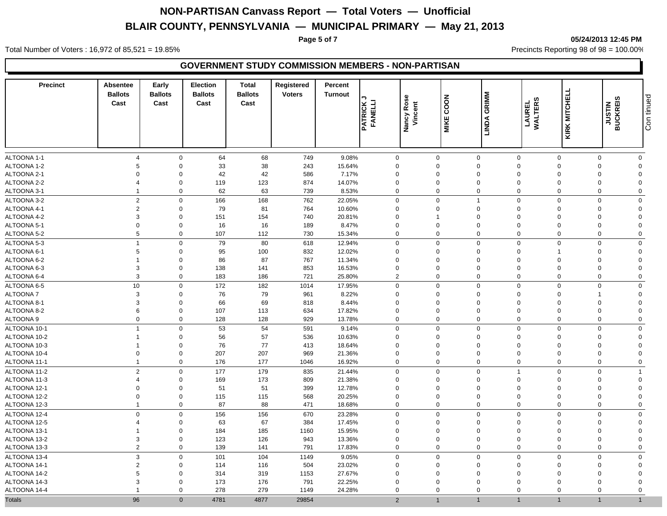**Page 5 of 7 05/24/2013 12:45 PM**

Total Number of Voters : 16,972 of 85,521 = 19.85% Precincts Reporting 98 of 98 = 100.00%

| <b>Precinct</b>            | <b>Absentee</b><br><b>Ballots</b><br>Cast | Early<br><b>Ballots</b><br>Cast | <b>Election</b><br><b>Ballots</b><br>Cast | <b>Total</b><br><b>Ballots</b><br>Cast | Registered<br><b>Voters</b> | Percent<br><b>Turnout</b> | <b>PATRICK.</b><br>FANELLI | Nancy Rose<br>Vincent | COON<br><b>MIKE</b>        | GRIMM<br>LINDA             | LAUREL<br>WALTERS          | KIRK MITCHELL        | <b>JUSTIN<br/>BUCKREIS</b> | Con tinued              |
|----------------------------|-------------------------------------------|---------------------------------|-------------------------------------------|----------------------------------------|-----------------------------|---------------------------|----------------------------|-----------------------|----------------------------|----------------------------|----------------------------|----------------------|----------------------------|-------------------------|
| ALTOONA 1-1                | $\overline{4}$                            | $\mathbf 0$                     | 64                                        | 68                                     | 749                         | 9.08%                     | 0                          |                       | $\mathbf 0$                | $\mathbf 0$                | $\mathbf 0$                | $\mathbf 0$          | $\Omega$                   | $\mathbf 0$             |
| ALTOONA 1-2                | 5                                         | $\mathbf 0$                     | 33                                        | 38                                     | 243                         | 15.64%                    | $\Omega$                   |                       | $\Omega$                   | $\mathbf 0$                | $\Omega$                   | $\Omega$             | $\Omega$                   | $\Omega$                |
| ALTOONA 2-1                | $\Omega$                                  | $\Omega$                        | 42                                        | 42                                     | 586                         | 7.17%                     | $\Omega$                   |                       | $\mathbf 0$                | $\mathbf 0$                | $\Omega$                   | $\Omega$             | $\Omega$                   | $\Omega$                |
| ALTOONA 2-2                | $\overline{4}$                            | $\mathbf 0$                     | 119                                       | 123                                    | 874                         | 14.07%                    | $\mathbf 0$                |                       | $\mathbf 0$                | $\mathbf 0$                | $\mathbf 0$                | $\Omega$             | $\Omega$                   | $\Omega$                |
| ALTOONA 3-1                | $\overline{1}$                            | $\mathbf 0$                     | 62                                        | 63                                     | 739                         | 8.53%                     | $\mathbf 0$                |                       | $\mathbf 0$                | $\mathbf 0$                | $\mathbf 0$                | $\Omega$             | $\Omega$                   | $\mathbf 0$             |
| ALTOONA 3-2                | $\overline{2}$                            | $\mathbf 0$                     | 166                                       | 168                                    | 762                         | 22.05%                    | $\mathbf 0$                |                       | $\Omega$                   | $\overline{1}$             | $\mathbf 0$                | $\Omega$             | $\Omega$                   | $\mathbf 0$             |
| ALTOONA 4-1                | $\overline{2}$                            | $\mathbf 0$                     | 79                                        | 81                                     | 764                         | 10.60%                    | $\mathbf 0$                |                       | $\mathbf 0$                | $\mathbf 0$                | $\mathbf 0$                | $\Omega$             | $\Omega$                   | $\Omega$                |
| ALTOONA 4-2                | 3                                         | $\mathbf 0$                     | 151                                       | 154                                    | 740                         | 20.81%                    | $\mathbf 0$                |                       |                            | $\mathbf 0$                | $\mathbf 0$                | $\Omega$             | $\Omega$                   | $\Omega$                |
| ALTOONA 5-1                | $\mathbf 0$                               | $\mathbf 0$                     | 16                                        | 16                                     | 189                         | 8.47%                     | $\mathbf 0$                |                       | $\mathbf 0$                | $\mathbf 0$                | $\overline{0}$             | $\Omega$             | $\mathbf 0$                | $\Omega$                |
| ALTOONA 5-2                | $5\phantom{.0}$                           | $\mathbf 0$                     | 107                                       | 112                                    | 730                         | 15.34%                    | $\mathbf 0$                |                       | $\mathbf 0$                | $\mathbf 0$                | $\mathbf 0$                | $\mathbf 0$          | $\Omega$                   | $\mathbf 0$             |
|                            | $\overline{1}$                            |                                 |                                           |                                        |                             |                           |                            |                       | $\Omega$                   |                            | $\Omega$                   | $\Omega$             | $\Omega$                   |                         |
| ALTOONA 5-3<br>ALTOONA 6-1 | 5                                         | $\mathbf 0$<br>$\mathbf 0$      | 79<br>95                                  | 80<br>100                              | 618<br>832                  | 12.94%<br>12.02%          | $\Omega$<br>$\Omega$       |                       | $\Omega$                   | $\mathbf 0$<br>$\mathbf 0$ | $\Omega$                   |                      | $\Omega$                   | $\mathbf 0$<br>$\Omega$ |
| ALTOONA 6-2                | $\overline{1}$                            | $\mathbf 0$                     | 86                                        | 87                                     | 767                         | 11.34%                    | $\mathbf 0$                |                       | 0                          | $\mathbf 0$                | $\Omega$                   | $\Omega$             | $\Omega$                   | $\Omega$                |
| ALTOONA 6-3                | $\mathbf{3}$                              | $\mathbf 0$                     | 138                                       | 141                                    | 853                         | 16.53%                    | $\mathbf 0$                |                       | $\mathbf 0$                | $\mathbf 0$                | $\mathbf 0$                | $\Omega$             | $\mathbf 0$                | $\Omega$                |
| ALTOONA 6-4                | $\mathbf{3}$                              | $\mathbf 0$                     | 183                                       | 186                                    | 721                         | 25.80%                    | $\overline{2}$             |                       | $\mathbf 0$                | $\mathbf 0$                | $\mathbf 0$                | $\Omega$             | $\Omega$                   | $\mathbf 0$             |
| ALTOONA 6-5                | 10                                        | $\mathbf 0$                     | 172                                       |                                        | 1014                        | 17.95%                    | $\mathbf{0}$               |                       | $\Omega$                   | $\mathbf 0$                | $\mathbf 0$                | $\Omega$             | $\Omega$                   | $\mathbf 0$             |
| <b>ALTOONA 7</b>           | 3                                         | $\mathbf 0$                     | 76                                        | 182<br>79                              | 961                         | 8.22%                     | $\mathbf 0$                |                       | $\mathbf 0$                | $\mathbf 0$                | $\Omega$                   | $\Omega$             |                            | $\Omega$                |
|                            | $\mathbf{3}$                              | $\mathbf 0$                     |                                           | 69                                     |                             |                           | $\Omega$                   |                       | $\Omega$                   | $\mathbf 0$                | $\Omega$                   | $\Omega$             | $\Omega$                   | $\Omega$                |
| ALTOONA 8-1<br>ALTOONA 8-2 | $\,6\,$                                   | $\mathbf 0$                     | 66<br>107                                 | 113                                    | 818<br>634                  | 8.44%<br>17.82%           | $\mathbf 0$                |                       | $\mathbf 0$                | $\mathbf 0$                | $\overline{0}$             | $\Omega$             | $\Omega$                   | $\Omega$                |
| ALTOONA 9                  | $\boldsymbol{0}$                          | $\mathbf 0$                     | 128                                       | 128                                    | 929                         | 13.78%                    | $\mathbf 0$                |                       | $\mathbf 0$                | $\mathbf 0$                | $\mathbf 0$                | $\Omega$             | $\Omega$                   | $\mathbf{0}$            |
|                            |                                           |                                 |                                           |                                        |                             |                           |                            |                       |                            |                            |                            |                      |                            |                         |
| ALTOONA 10-1               | $\overline{1}$                            | $\mathbf 0$                     | 53                                        | 54                                     | 591                         | 9.14%                     | 0                          |                       | $\mathbf 0$                | $\mathsf 0$                | $\overline{0}$             | $\Omega$             | $\Omega$                   | $\mathbf 0$             |
| ALTOONA 10-2               | $\overline{1}$                            | $\mathbf 0$                     | 56                                        | 57                                     | 536                         | 10.63%                    | $\mathbf 0$                |                       | $\mathbf 0$                | $\mathbf 0$                | $\Omega$                   | $\Omega$             | $\Omega$                   | $\Omega$                |
| ALTOONA 10-3               | $\overline{1}$                            | $\mathbf 0$<br>$\mathsf 0$      | 76                                        | 77                                     | 413                         | 18.64%                    | $\mathbf 0$                |                       | $\mathbf 0$<br>$\mathbf 0$ | $\mathbf 0$                | $\mathbf 0$<br>$\mathbf 0$ | $\Omega$<br>$\Omega$ | $\Omega$<br>$\Omega$       | $\Omega$<br>$\Omega$    |
| ALTOONA 10-4               | $\mathbf 0$<br>$\overline{1}$             | $\mathbf 0$                     | 207                                       | 207                                    | 969                         | 21.36%                    | $\mathbf 0$                |                       | $\mathbf 0$                | $\mathbf 0$<br>$\mathbf 0$ |                            | $\Omega$             | $\Omega$                   |                         |
| ALTOONA 11-1               |                                           |                                 | 176                                       | 177                                    | 1046                        | 16.92%                    | $\mathbf 0$                |                       |                            |                            | $\mathbf 0$                |                      |                            | $\mathbf 0$             |
| ALTOONA 11-2               | $\overline{2}$                            | $\mathbf 0$                     | 177                                       | 179                                    | 835                         | 21.44%                    | $\mathbf 0$                |                       | $\mathbf 0$                | $\mathbf 0$                | $\overline{1}$             | $\Omega$             | $\Omega$                   | $\overline{1}$          |
| ALTOONA 11-3               | $\overline{4}$                            | $\mathbf 0$                     | 169                                       | 173                                    | 809                         | 21.38%                    | $\mathbf 0$                |                       | 0                          | $\mathbf 0$                | $\overline{0}$             | $\Omega$             | $\mathbf 0$                | $\Omega$                |
| ALTOONA 12-1               | $\mathbf 0$                               | $\mathbf 0$                     | 51                                        | 51                                     | 399                         | 12.78%                    | $\Omega$                   |                       | $\mathbf 0$                | $\mathbf 0$                | $\mathbf 0$                | $\Omega$             | $\Omega$                   | $\mathbf{0}$            |
| ALTOONA 12-2               | $\mathbf 0$<br>$\overline{1}$             | $\mathbf 0$<br>$\mathbf 0$      | 115                                       | 115                                    | 568                         | 20.25%                    | $\mathbf 0$                |                       | $\mathbf 0$<br>$\mathbf 0$ | $\pmb{0}$                  | $\overline{0}$             | $\Omega$             | $\Omega$                   | $\Omega$                |
| ALTOONA 12-3               |                                           |                                 | 87                                        | 88                                     | 471                         | 18.68%                    | $\mathbf 0$                |                       |                            | $\mathbf 0$                | $\mathbf 0$                | $\mathbf 0$          | $\mathbf 0$                | $\mathbf 0$             |
| ALTOONA 12-4               | $\mathbf 0$                               | $\mathbf 0$                     | 156                                       | 156                                    | 670                         | 23.28%                    | 0                          |                       | $\Omega$                   | $\mathbf 0$                | $\Omega$                   | $\Omega$             | $\Omega$                   | $\mathbf 0$             |
| ALTOONA 12-5               | $\overline{4}$                            | $\mathbf 0$                     | 63                                        | 67                                     | 384                         | 17.45%                    | $\Omega$                   |                       | $\Omega$                   | $\mathbf 0$                | $\Omega$                   | $\Omega$             | $\Omega$                   | $\Omega$                |
| ALTOONA 13-1               | $\overline{1}$                            | $\mathbf 0$                     | 184                                       | 185                                    | 1160                        | 15.95%                    | $\mathbf 0$                |                       | 0                          | $\mathbf 0$                | $\mathbf 0$                | $\Omega$             | $\Omega$                   | $\Omega$                |
| ALTOONA 13-2               | $\mathbf{3}$                              | $\mathbf 0$                     | 123                                       | 126                                    | 943                         | 13.36%                    | $\mathbf 0$                |                       | $\mathbf 0$                | $\mathbf 0$                | $\mathbf 0$                | $\Omega$             | $\mathbf 0$                | $\overline{0}$          |
| ALTOONA 13-3               | $\overline{2}$                            | $\mathbf 0$                     | 139                                       | 141                                    | 791                         | 17.83%                    | 0                          |                       | $\mathbf 0$                | $\mathbf 0$                | $\mathbf 0$                | $\mathbf 0$          | $\mathbf 0$                | $\mathbf 0$             |
| ALTOONA 13-4               | $\mathbf{3}$                              | $\mathbf 0$                     | 101                                       | 104                                    | 1149                        | 9.05%                     | $\mathbf 0$                |                       | $\mathbf 0$                | $\mathbf 0$                | $\mathbf 0$                | $\Omega$             | $\Omega$                   | $\mathbf 0$             |
| ALTOONA 14-1               | $\overline{2}$                            | $\mathbf 0$                     | 114                                       | 116                                    | 504                         | 23.02%                    | $\mathbf 0$                |                       | $\mathbf 0$                | $\mathbf 0$                | $\Omega$                   | $\Omega$             | $\Omega$                   | $\Omega$                |
| ALTOONA 14-2               | 5                                         | $\mathbf 0$                     | 314                                       | 319                                    | 1153                        | 27.67%                    | $\Omega$                   |                       | $\mathbf 0$                | $\mathbf 0$                | $\Omega$                   | $\Omega$             | $\Omega$                   | $\Omega$                |
| ALTOONA 14-3               | 3                                         | $\mathbf 0$                     | 173                                       | 176                                    | 791                         | 22.25%                    | $\Omega$                   |                       | $\mathbf 0$                | $\mathbf 0$                | $\Omega$                   | $\Omega$             | $\Omega$                   | $\Omega$                |
| ALTOONA 14-4               | $\overline{1}$                            | $\mathbf 0$                     | 278                                       | 279                                    | 1149                        | 24.28%                    | 0                          |                       | $\Omega$                   | $\mathbf 0$                | $\Omega$                   | $\Omega$             | $\Omega$                   | $\mathbf 0$             |
| <b>Totals</b>              | 96                                        | $\Omega$                        | 4781                                      | 4877                                   | 29854                       |                           | $\mathfrak{p}$             |                       | 1                          |                            |                            |                      | $\mathbf{1}$               | $\mathbf{1}$            |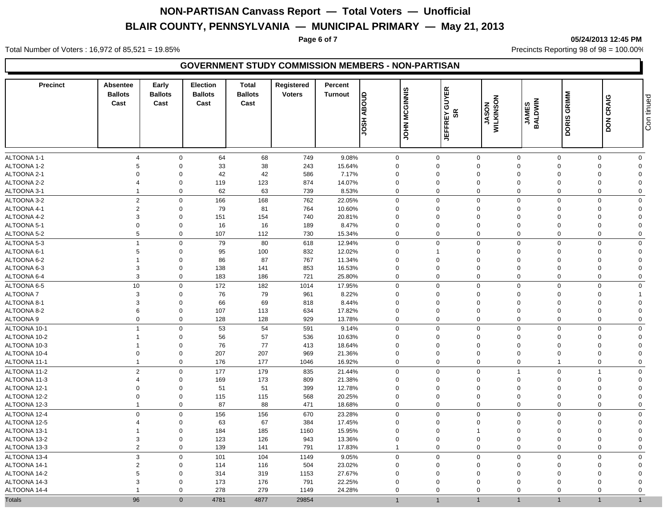#### **Page 6 of 7 05/24/2013 12:45 PM**

Total Number of Voters : 16,972 of 85,521 = 19.85% Precincts Reporting 98 of 98 = 100.00%

| <b>Precinct</b>            | <b>Absentee</b><br><b>Ballots</b><br>Cast | Early<br><b>Ballots</b><br>Cast | <b>Election</b><br><b>Ballots</b><br>Cast | <b>Total</b><br><b>Ballots</b><br>Cast | Registered<br><b>Voters</b> | Percent<br>Turnout | <b>ABOUD</b><br>HSOL    | <b>MCGINNIS</b><br><b>NHOL</b> | <b>GUYER</b><br>SR<br><b>JEFFREY</b> | MILKINSON                  | <b>ANES</b><br>BALDWIN     | DORIS GRIMM             | <b>DON CRAIG</b>           | Con tinued              |
|----------------------------|-------------------------------------------|---------------------------------|-------------------------------------------|----------------------------------------|-----------------------------|--------------------|-------------------------|--------------------------------|--------------------------------------|----------------------------|----------------------------|-------------------------|----------------------------|-------------------------|
|                            |                                           |                                 |                                           |                                        |                             |                    |                         |                                |                                      |                            |                            |                         |                            |                         |
| ALTOONA 1-1<br>ALTOONA 1-2 | $\overline{4}$<br>5                       | $\mathbf 0$<br>$\mathbf 0$      | 64<br>33                                  | 68<br>38                               | 749<br>243                  | 9.08%<br>15.64%    | 0<br>$\mathbf 0$        |                                | $\mathbf 0$<br>$\mathbf 0$           | $\mathbf 0$<br>$\mathbf 0$ | $\mathbf 0$<br>$\mathbf 0$ | $\mathbf 0$<br>$\Omega$ | $\mathbf 0$<br>$\mathbf 0$ | $\mathbf 0$<br>$\Omega$ |
| ALTOONA 2-1                | $\Omega$                                  | $\mathbf 0$                     | 42                                        | 42                                     | 586                         | 7.17%              | $\mathbf 0$             |                                | $\mathbf 0$                          | $\mathbf 0$                | $\mathbf 0$                |                         | $\mathbf 0$                | $\Omega$                |
| ALTOONA 2-2                | $\overline{4}$                            | $\mathbf 0$                     | 119                                       | 123                                    | 874                         | 14.07%             | $\mathbf 0$             |                                | $\mathbf 0$                          | $\mathbf 0$                | $\mathbf 0$                | $\Omega$                | $\mathbf 0$                | $\Omega$                |
| ALTOONA 3-1                | $\overline{1}$                            | $\mathbf 0$                     | 62                                        | 63                                     | 739                         | 8.53%              | $\mathbf 0$             |                                | $\mathbf 0$                          | $\mathbf 0$                | $\mathbf 0$                | $\Omega$                | $\Omega$                   | $\mathbf 0$             |
| ALTOONA 3-2                | $\overline{2}$                            | $\mathbf 0$                     | 166                                       | 168                                    | 762                         | 22.05%             | $\mathbf{0}$            |                                | $\mathbf 0$                          | $\mathbf 0$                | $\mathbf 0$                | $\Omega$                | $\Omega$                   | $\mathbf 0$             |
|                            |                                           |                                 |                                           |                                        |                             |                    |                         |                                |                                      |                            |                            |                         |                            |                         |
| ALTOONA 4-1<br>ALTOONA 4-2 | $\overline{2}$<br>$\mathbf{3}$            | $\mathbf 0$<br>$\mathbf 0$      | 79<br>151                                 | 81<br>154                              | 764<br>740                  | 10.60%<br>20.81%   | $\mathbf 0$<br>$\Omega$ |                                | $\mathbf 0$<br>$\Omega$              | $\mathbf 0$<br>$\mathbf 0$ | $\mathbf 0$<br>$\Omega$    | $\Omega$<br>$\Omega$    | $\Omega$<br>$\Omega$       | $\Omega$<br>$\Omega$    |
| ALTOONA 5-1                | $\mathbf 0$                               | $\mathbf 0$                     |                                           | 16                                     | 189                         | 8.47%              | $\Omega$                |                                | $\mathbf 0$                          | $\mathbf 0$                | $\Omega$                   | $\Omega$                | $\Omega$                   | $\Omega$                |
|                            |                                           | $\Omega$                        | 16                                        |                                        |                             |                    | $\Omega$                |                                | $\Omega$                             | $\mathbf 0$                | $\Omega$                   | $\Omega$                | $\Omega$                   | $\Omega$                |
| ALTOONA 5-2                | $\sqrt{5}$                                |                                 | 107                                       | 112                                    | 730                         | 15.34%             |                         |                                |                                      |                            |                            |                         |                            |                         |
| ALTOONA 5-3                | $\overline{1}$                            | $\mathbf 0$                     | 79                                        | 80                                     | 618                         | 12.94%             | 0                       |                                | $\mathbf 0$                          | $\mathsf 0$                | $\overline{0}$             | $\Omega$                | $\Omega$                   | $\mathbf 0$             |
| ALTOONA 6-1                | 5<br>$\overline{1}$                       | $\mathbf 0$                     | 95                                        | 100                                    | 832                         | 12.02%             | $\mathbf 0$             |                                |                                      | $\mathbf 0$                | $\mathbf 0$                | $\Omega$<br>$\Omega$    | $\Omega$<br>$\Omega$       | $\Omega$<br>$\Omega$    |
| ALTOONA 6-2                |                                           | $\mathbf 0$                     | 86                                        | 87                                     | 767                         | 11.34%             | $\mathbf 0$             |                                | $\mathbf 0$<br>$\mathbf 0$           | $\mathbf 0$                | $\mathbf 0$<br>$\mathbf 0$ | $\Omega$                | $\Omega$                   | $\Omega$                |
| ALTOONA 6-3<br>ALTOONA 6-4 | $\mathbf{3}$<br>3                         | $\mathbf 0$<br>$\mathbf 0$      | 138<br>183                                | 141<br>186                             | 853<br>721                  | 16.53%<br>25.80%   | $\mathbf 0$<br>$\Omega$ |                                | $\mathbf 0$                          | $\mathbf 0$<br>$\mathbf 0$ | $\Omega$                   | $\Omega$                | $\Omega$                   | $\mathbf 0$             |
|                            |                                           |                                 |                                           |                                        |                             |                    |                         |                                |                                      |                            |                            |                         |                            |                         |
| ALTOONA 6-5                | 10                                        | $\mathbf 0$                     | 172                                       | 182                                    | 1014                        | 17.95%             | 0                       |                                | $\Omega$                             | $\mathbf 0$                | $\mathbf 0$                | $\Omega$                | $\Omega$                   | $\mathbf 0$             |
| ALTOONA 7                  | $\mathbf{3}$                              | $\mathbf 0$                     | 76                                        | 79                                     | 961                         | 8.22%              | $\Omega$                |                                | $\Omega$                             | $\mathbf 0$                | $\Omega$                   | $\Omega$                | $\Omega$                   |                         |
| ALTOONA 8-1                | $\mathbf{3}$                              | $\mathbf 0$                     | 66                                        | 69                                     | 818                         | 8.44%              | $\mathbf 0$             |                                | $\mathbf 0$                          | $\mathbf 0$                | $\mathbf 0$                | $\Omega$                | $\Omega$                   | $\Omega$                |
| ALTOONA 8-2                | 6                                         | $\mathbf 0$                     | 107                                       | 113                                    | 634                         | 17.82%             | $\mathbf 0$             |                                | 0                                    | $\pmb{0}$                  | $\overline{0}$             | $\Omega$                | $\Omega$                   | $\Omega$                |
| ALTOONA 9                  | $\mathbf 0$                               | $\mathbf 0$                     | 128                                       | 128                                    | 929                         | 13.78%             | 0                       |                                | $\mathbf 0$                          | $\mathbf 0$                | $\mathbf 0$                | $\mathbf 0$             | $\mathbf 0$                | $\mathbf 0$             |
| ALTOONA 10-1               | $\overline{1}$                            | $\mathbf 0$                     | 53                                        | 54                                     | 591                         | 9.14%              | 0                       |                                | $\mathbf 0$                          | $\mathbf 0$                | $\overline{0}$             | $\Omega$                | $\Omega$                   | $\mathbf 0$             |
| ALTOONA 10-2               | $\overline{1}$                            | $\mathbf 0$                     | 56                                        | 57                                     | 536                         | 10.63%             | $\Omega$                |                                | $\Omega$                             | $\mathbf 0$                | $\Omega$                   | $\Omega$                | $\Omega$                   | $\mathbf 0$             |
| ALTOONA 10-3               | $\overline{1}$                            | $\mathbf 0$                     | 76                                        | 77                                     | 413                         | 18.64%             | $\Omega$                |                                | $\mathbf 0$                          | $\mathbf 0$                | $\mathbf 0$                | $\Omega$                | $\mathbf 0$                | $\Omega$                |
| ALTOONA 10-4               | $\mathbf 0$                               | $\mathbf 0$                     | 207                                       | 207                                    | 969                         | 21.36%             | $\Omega$                |                                | $\mathbf 0$                          | $\mathsf 0$                | $\Omega$                   | $\Omega$                | $\Omega$                   | $\Omega$                |
| ALTOONA 11-1               | $\overline{1}$                            | $\mathbf 0$                     | 176                                       | 177                                    | 1046                        | 16.92%             | $\mathbf{0}$            |                                | $\mathbf 0$                          | $\mathbf 0$                | $\mathbf 0$                | $\overline{1}$          | $\mathbf 0$                | $\mathbf 0$             |
| ALTOONA 11-2               | $\overline{2}$                            | $\mathbf 0$                     | 177                                       | 179                                    | 835                         | 21.44%             | $\mathbf 0$             |                                | $\mathbf 0$                          | $\mathbf 0$                | $\overline{1}$             | $\mathbf 0$             | $\overline{1}$             | $\mathbf 0$             |
| ALTOONA 11-3               | $\overline{4}$                            | $\mathbf 0$                     | 169                                       | 173                                    | 809                         | 21.38%             | $\mathbf 0$             |                                | $\mathbf 0$                          | $\mathbf 0$                | $\overline{0}$             | $\Omega$                | $\Omega$                   | $\Omega$                |
| ALTOONA 12-1               | $\Omega$                                  | $\mathbf 0$                     | 51                                        | 51                                     | 399                         | 12.78%             | $\Omega$                |                                | $\mathbf 0$                          | $\mathbf 0$                | $\Omega$                   | $\Omega$                | $\Omega$                   | $\Omega$                |
| ALTOONA 12-2               | $\overline{0}$                            | $\mathsf 0$                     | 115                                       | 115                                    | 568                         | 20.25%             | $\mathbf 0$             |                                | $\mathbf 0$                          | $\mathsf 0$                | $\mathbf 0$                | $\Omega$                | $\Omega$                   | $\Omega$                |
| ALTOONA 12-3               | $\overline{1}$                            | $\mathbf 0$                     | 87                                        | 88                                     | 471                         | 18.68%             | 0                       |                                | $\mathbf 0$                          | $\mathbf 0$                | $\mathbf 0$                | $\mathbf 0$             | $\mathbf 0$                | $\mathbf 0$             |
| ALTOONA 12-4               | $\mathbf 0$                               | $\mathbf 0$                     | 156                                       | 156                                    | 670                         | 23.28%             | $\mathbf 0$             |                                | $\mathbf 0$                          | $\pmb{0}$                  | $\mathbf 0$                | $\Omega$                | $\mathbf 0$                | $\mathbf 0$             |
| ALTOONA 12-5               | $\overline{4}$                            | $\Omega$                        | 63                                        | 67                                     | 384                         | 17.45%             | $\Omega$                |                                | $\Omega$                             | $\mathbf 0$                | $\Omega$                   | $\Omega$                | $\Omega$                   | $\Omega$                |
| ALTOONA 13-1               | $\overline{1}$                            | $\mathbf 0$                     | 184                                       | 185                                    | 1160                        | 15.95%             | $\mathbf 0$             |                                | 0                                    | $\mathbf{1}$               | $\overline{0}$             | $\Omega$                | $\Omega$                   | $\Omega$                |
| ALTOONA 13-2               | $\mathbf{3}$                              | $\mathbf 0$                     | 123                                       | 126                                    | 943                         | 13.36%             | $\mathbf 0$             |                                | $\mathbf 0$                          | $\pmb{0}$                  | $\mathbf 0$                | $\Omega$                | $\mathbf 0$                | $\mathbf 0$             |
| ALTOONA 13-3               | $\overline{2}$                            | $\mathbf 0$                     | 139                                       | 141                                    | 791                         | 17.83%             | $\mathbf{1}$            |                                | $\mathbf 0$                          | $\mathbf 0$                | $\mathbf 0$                | $\mathbf 0$             | $\mathbf 0$                | $\mathbf 0$             |
| ALTOONA 13-4               | $\mathbf{3}$                              | $\Omega$                        | 101                                       | 104                                    | 1149                        | 9.05%              | $\mathbf{0}$            |                                | $\mathbf 0$                          | $\mathbf 0$                | $\mathbf 0$                | $\Omega$                | $\Omega$                   | $\mathbf 0$             |
| ALTOONA 14-1               | $\overline{c}$                            | $\mathbf 0$                     | 114                                       | 116                                    | 504                         | 23.02%             | $\Omega$                |                                | $\mathbf 0$                          | $\mathbf 0$                | $\Omega$                   | $\Omega$                | $\Omega$                   | $\Omega$                |
| ALTOONA 14-2               | $5\phantom{.0}$                           | $\mathbf 0$                     | 314                                       | 319                                    | 1153                        | 27.67%             | $\Omega$                |                                | $\Omega$                             | $\mathbf 0$                | $\Omega$                   | $\Omega$                | $\Omega$                   | $\Omega$                |
| ALTOONA 14-3               | 3                                         | $\mathbf 0$                     | 173                                       | 176                                    | 791                         | 22.25%             | $\mathbf 0$             |                                | $\mathbf 0$                          | $\mathbf 0$                | $\Omega$                   | $\Omega$                | $\Omega$                   | $\Omega$                |
| ALTOONA 14-4               | $\overline{1}$                            | $\mathbf 0$                     | 278                                       | 279                                    | 1149                        | 24.28%             | $\mathbf 0$             |                                | $\Omega$                             | $\mathbf 0$                | $\Omega$                   | $\Omega$                | $\Omega$                   | $\Omega$                |
| <b>Totals</b>              | 96                                        | $\Omega$                        | 4781                                      | 4877                                   | 29854                       |                    |                         |                                |                                      |                            |                            |                         |                            | $\overline{1}$          |